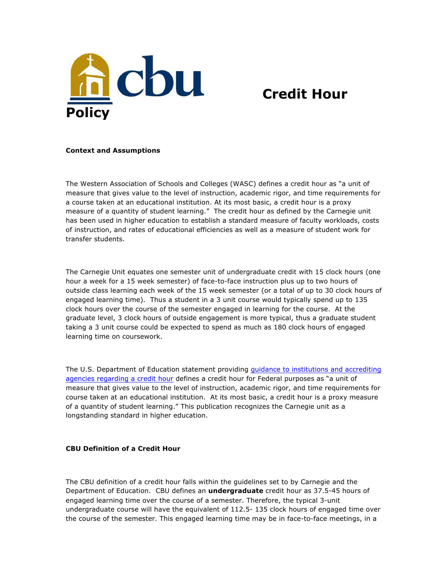

## **Credit Hour**

## **Context and Assumptions**

The Western Association of Schools and Colleges (WASC) defines a credit hour as "a unit of measure that gives value to the level of instruction, academic rigor, and time requirements for a course taken at an educational institution. At its most basic, a credit hour is a proxy measure of a quantity of student learning." The credit hour as defined by the Carnegie unit has been used in higher education to establish a standard measure of faculty workloads, costs of instruction, and rates of educational efficiencies as well as a measure of student work for transfer students.

The Carnegie Unit equates one semester unit of undergraduate credit with 15 clock hours (one hour a week for a 15 week semester) of face-to-face instruction plus up to two hours of outside class learning each week of the 15 week semester (or a total of up to 30 clock hours of engaged learning time). Thus a student in a 3 unit course would typically spend up to 135 clock hours over the course of the semester engaged in learning for the course. At the graduate level, 3 clock hours of outside engagement is more typical, thus a graduate student taking a 3 unit course could be expected to spend as much as 180 clock hours of engaged learning time on coursework.

The U.S. Department of Education statement providing guidance to institutions and accrediting agencies regarding a credit hour defines a credit hour for Federal purposes as "a unit of measure that gives value to the level of instruction, academic rigor, and time requirements for course taken at an educational institution. At its most basic, a credit hour is a proxy measure of a quantity of student learning." This publication recognizes the Carnegie unit as a longstanding standard in higher education.

## **CBU Definition of a Credit Hour**

The CBU definition of a credit hour falls within the guidelines set to by Carnegie and the Department of Education. CBU defines an **undergraduate** credit hour as 37.5-45 hours of engaged learning time over the course of a semester. Therefore, the typical 3-unit undergraduate course will have the equivalent of 112.5- 135 clock hours of engaged time over the course of the semester. This engaged learning time may be in face-to-face meetings, in a